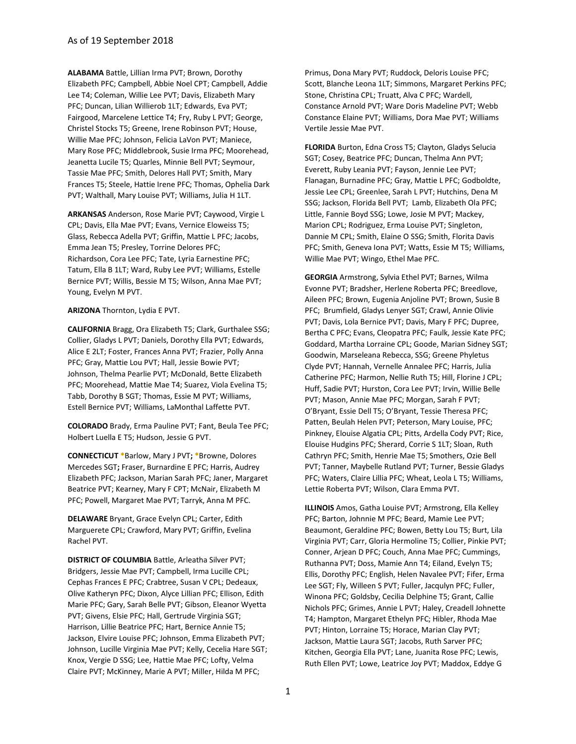**ALABAMA** Battle, Lillian Irma PVT; Brown, Dorothy Elizabeth PFC; Campbell, Abbie Noel CPT; Campbell, Addie Lee T4; Coleman, Willie Lee PVT; Davis, Elizabeth Mary PFC; Duncan, Lilian Willierob 1LT; Edwards, Eva PVT; Fairgood, Marcelene Lettice T4; Fry, Ruby L PVT; George, Christel Stocks T5; Greene, Irene Robinson PVT; House, Willie Mae PFC; Johnson, Felicia LaVon PVT; Maniece, Mary Rose PFC; Middlebrook, Susie Irma PFC; Moorehead, Jeanetta Lucile T5; Quarles, Minnie Bell PVT; Seymour, Tassie Mae PFC; Smith, Delores Hall PVT; Smith, Mary Frances T5; Steele, Hattie Irene PFC; Thomas, Ophelia Dark PVT; Walthall, Mary Louise PVT; Williams, Julia H 1LT.

**ARKANSAS** Anderson, Rose Marie PVT; Caywood, Virgie L CPL; Davis, Ella Mae PVT; Evans, Vernice Eloweiss T5; Glass, Rebecca Adella PVT; Griffin, Mattie L PFC; Jacobs, Emma Jean T5; Presley, Torrine Delores PFC; Richardson, Cora Lee PFC; Tate, Lyria Earnestine PFC; Tatum, Ella B 1LT; Ward, Ruby Lee PVT; Williams, Estelle Bernice PVT; Willis, Bessie M T5; Wilson, Anna Mae PVT; Young, Evelyn M PVT.

## **ARIZONA** Thornton, Lydia E PVT.

**CALIFORNIA** Bragg, Ora Elizabeth T5; Clark, Gurthalee SSG; Collier, Gladys L PVT; Daniels, Dorothy Ella PVT; Edwards, Alice E 2LT; Foster, Frances Anna PVT; Frazier, Polly Anna PFC; Gray, Mattie Lou PVT; Hall, Jessie Bowie PVT; Johnson, Thelma Pearlie PVT; McDonald, Bette Elizabeth PFC; Moorehead, Mattie Mae T4; Suarez, Viola Evelina T5; Tabb, Dorothy B SGT; Thomas, Essie M PVT; Williams, Estell Bernice PVT; Williams, LaMonthal Laffette PVT.

**COLORADO** Brady, Erma Pauline PVT; Fant, Beula Tee PFC; Holbert Luella E T5; Hudson, Jessie G PVT.

**CONNECTICUT \***Barlow, Mary J PVT**; \***Browne, Dolores Mercedes SGT**;** Fraser, Burnardine E PFC; Harris, Audrey Elizabeth PFC; Jackson, Marian Sarah PFC; Janer, Margaret Beatrice PVT; Kearney, Mary F CPT; McNair, Elizabeth M PFC; Powell, Margaret Mae PVT; Tarryk, Anna M PFC.

**DELAWARE** Bryant, Grace Evelyn CPL; Carter, Edith Marguerete CPL; Crawford, Mary PVT; Griffin, Evelina Rachel PVT.

**DISTRICT OF COLUMBIA** Battle, Arleatha Silver PVT; Bridgers, Jessie Mae PVT; Campbell, Irma Lucille CPL; Cephas Frances E PFC; Crabtree, Susan V CPL; Dedeaux, Olive Katheryn PFC; Dixon, Alyce Lillian PFC; Ellison, Edith Marie PFC; Gary, Sarah Belle PVT; Gibson, Eleanor Wyetta PVT; Givens, Elsie PFC; Hall, Gertrude Virginia SGT; Harrison, Lillie Beatrice PFC; Hart, Bernice Annie T5; Jackson, Elvire Louise PFC; Johnson, Emma Elizabeth PVT; Johnson, Lucille Virginia Mae PVT; Kelly, Cecelia Hare SGT; Knox, Vergie D SSG; Lee, Hattie Mae PFC; Lofty, Velma Claire PVT; McKinney, Marie A PVT; Miller, Hilda M PFC;

Primus, Dona Mary PVT; Ruddock, Deloris Louise PFC; Scott, Blanche Leona 1LT; Simmons, Margaret Perkins PFC; Stone, Christina CPL; Truatt, Alva C PFC; Wardell, Constance Arnold PVT; Ware Doris Madeline PVT; Webb Constance Elaine PVT; Williams, Dora Mae PVT; Williams Vertile Jessie Mae PVT.

**FLORIDA** Burton, Edna Cross T5; Clayton, Gladys Selucia SGT; Cosey, Beatrice PFC; Duncan, Thelma Ann PVT; Everett, Ruby Leania PVT; Fayson, Jennie Lee PVT; Flanagan, Burnadine PFC; Gray, Mattie L PFC; Godboldte, Jessie Lee CPL; Greenlee, Sarah L PVT; Hutchins, Dena M SSG; Jackson, Florida Bell PVT; Lamb, Elizabeth Ola PFC; Little, Fannie Boyd SSG; Lowe, Josie M PVT; Mackey, Marion CPL; Rodriguez, Erma Louise PVT; Singleton, Dannie M CPL; Smith, Elaine O SSG; Smith, Florita Davis PFC; Smith, Geneva Iona PVT; Watts, Essie M T5; Williams, Willie Mae PVT; Wingo, Ethel Mae PFC.

**GEORGIA** Armstrong, Sylvia Ethel PVT; Barnes, Wilma Evonne PVT; Bradsher, Herlene Roberta PFC; Breedlove, Aileen PFC; Brown, Eugenia Anjoline PVT; Brown, Susie B PFC; Brumfield, Gladys Lenyer SGT; Crawl, Annie Olivie PVT; Davis, Lola Bernice PVT; Davis, Mary F PFC; Dupree, Bertha C PFC; Evans, Cleopatra PFC; Faulk, Jessie Kate PFC; Goddard, Martha Lorraine CPL; Goode, Marian Sidney SGT; Goodwin, Marseleana Rebecca, SSG; Greene Phyletus Clyde PVT; Hannah, Vernelle Annalee PFC; Harris, Julia Catherine PFC; Harmon, Nellie Ruth T5; Hill, Florine J CPL; Huff, Sadie PVT; Hurston, Cora Lee PVT; Irvin, Willie Belle PVT; Mason, Annie Mae PFC; Morgan, Sarah F PVT; O'Bryant, Essie Dell T5; O'Bryant, Tessie Theresa PFC; Patten, Beulah Helen PVT; Peterson, Mary Louise, PFC; Pinkney, Elouise Algatia CPL; Pitts, Ardella Cody PVT; Rice, Elouise Hudgins PFC; Sherard, Corrie S 1LT; Sloan, Ruth Cathryn PFC; Smith, Henrie Mae T5; Smothers, Ozie Bell PVT; Tanner, Maybelle Rutland PVT; Turner, Bessie Gladys PFC; Waters, Claire Lillia PFC; Wheat, Leola L T5; Williams, Lettie Roberta PVT; Wilson, Clara Emma PVT.

**ILLINOIS** Amos, Gatha Louise PVT; Armstrong, Ella Kelley PFC; Barton, Johnnie M PFC; Beard, Mamie Lee PVT; Beaumont, Geraldine PFC; Bowen, Betty Lou T5; Burt, Lila Virginia PVT; Carr, Gloria Hermoline T5; Collier, Pinkie PVT; Conner, Arjean D PFC; Couch, Anna Mae PFC; Cummings, Ruthanna PVT; Doss, Mamie Ann T4; Eiland, Evelyn T5; Ellis, Dorothy PFC; English, Helen Navalee PVT; Fifer, Erma Lee SGT; Fly, Willeen S PVT; Fuller, Jacqulyn PFC; Fuller, Winona PFC; Goldsby, Cecilia Delphine T5; Grant, Callie Nichols PFC; Grimes, Annie L PVT; Haley, Creadell Johnette T4; Hampton, Margaret Ethelyn PFC; Hibler, Rhoda Mae PVT; Hinton, Lorraine T5; Horace, Marian Clay PVT; Jackson, Mattie Laura SGT; Jacobs, Ruth Sarver PFC; Kitchen, Georgia Ella PVT; Lane, Juanita Rose PFC; Lewis, Ruth Ellen PVT; Lowe, Leatrice Joy PVT; Maddox, Eddye G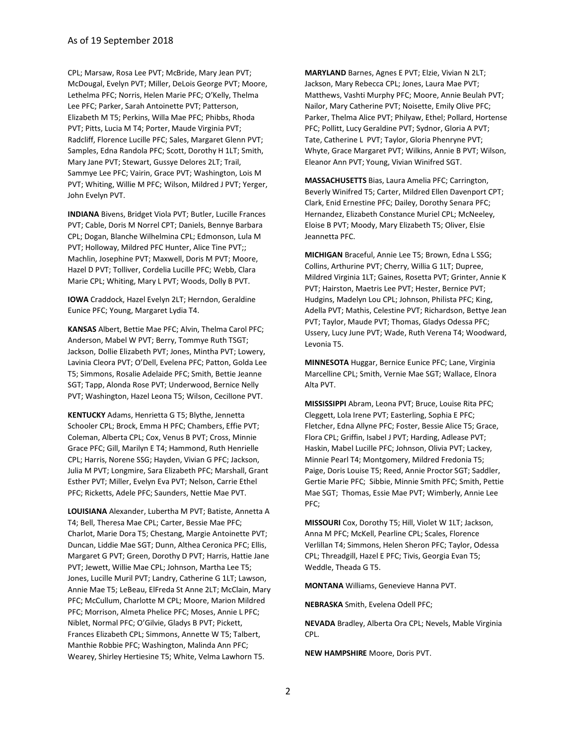CPL; Marsaw, Rosa Lee PVT; McBride, Mary Jean PVT; McDougal, Evelyn PVT; Miller, DeLois George PVT; Moore, Lethelma PFC; Norris, Helen Marie PFC; O'Kelly, Thelma Lee PFC; Parker, Sarah Antoinette PVT; Patterson, Elizabeth M T5; Perkins, Willa Mae PFC; Phibbs, Rhoda PVT; Pitts, Lucia M T4; Porter, Maude Virginia PVT; Radcliff, Florence Lucille PFC; Sales, Margaret Glenn PVT; Samples, Edna Randola PFC; Scott, Dorothy H 1LT; Smith, Mary Jane PVT; Stewart, Gussye Delores 2LT; Trail, Sammye Lee PFC; Vairin, Grace PVT; Washington, Lois M PVT; Whiting, Willie M PFC; Wilson, Mildred J PVT; Yerger, John Evelyn PVT.

**INDIANA** Bivens, Bridget Viola PVT; Butler, Lucille Frances PVT; Cable, Doris M Norrel CPT; Daniels, Bennye Barbara CPL; Dogan, Blanche Wilhelmina CPL; Edmonson, Lula M PVT; Holloway, Mildred PFC Hunter, Alice Tine PVT;; Machlin, Josephine PVT; Maxwell, Doris M PVT; Moore, Hazel D PVT; Tolliver, Cordelia Lucille PFC; Webb, Clara Marie CPL; Whiting, Mary L PVT; Woods, Dolly B PVT.

**IOWA** Craddock, Hazel Evelyn 2LT; Herndon, Geraldine Eunice PFC; Young, Margaret Lydia T4.

**KANSAS** Albert, Bettie Mae PFC; Alvin, Thelma Carol PFC; Anderson, Mabel W PVT; Berry, Tommye Ruth TSGT; Jackson, Dollie Elizabeth PVT; Jones, Mintha PVT; Lowery, Lavinia Cleora PVT; O'Dell, Evelena PFC; Patton, Golda Lee T5; Simmons, Rosalie Adelaide PFC; Smith, Bettie Jeanne SGT; Tapp, Alonda Rose PVT; Underwood, Bernice Nelly PVT; Washington, Hazel Leona T5; Wilson, CecilIone PVT.

**KENTUCKY** Adams, Henrietta G T5; Blythe, Jennetta Schooler CPL; Brock, Emma H PFC; Chambers, Effie PVT; Coleman, Alberta CPL; Cox, Venus B PVT; Cross, Minnie Grace PFC; Gill, Marilyn E T4; Hammond, Ruth Henrielle CPL; Harris, Norene SSG; Hayden, Vivian G PFC; Jackson, Julia M PVT; Longmire, Sara Elizabeth PFC; Marshall, Grant Esther PVT; Miller, Evelyn Eva PVT; Nelson, Carrie Ethel PFC; Ricketts, Adele PFC; Saunders, Nettie Mae PVT.

**LOUISIANA** Alexander, Lubertha M PVT; Batiste, Annetta A T4; Bell, Theresa Mae CPL; Carter, Bessie Mae PFC; Charlot, Marie Dora T5; Chestang, Margie Antoinette PVT; Duncan, Liddie Mae SGT; Dunn, Althea Ceronica PFC; Ellis, Margaret G PVT; Green, Dorothy D PVT; Harris, Hattie Jane PVT; Jewett, Willie Mae CPL; Johnson, Martha Lee T5; Jones, Lucille Muril PVT; Landry, Catherine G 1LT; Lawson, Annie Mae T5; LeBeau, ElFreda St Anne 2LT; McClain, Mary PFC; McCullum, Charlotte M CPL; Moore, Marion Mildred PFC; Morrison, Almeta Phelice PFC; Moses, Annie L PFC; Niblet, Normal PFC; O'Gilvie, Gladys B PVT; Pickett, Frances Elizabeth CPL; Simmons, Annette W T5; Talbert, Manthie Robbie PFC; Washington, Malinda Ann PFC; Wearey, Shirley Hertiesine T5; White, Velma Lawhorn T5.

**MARYLAND** Barnes, Agnes E PVT; Elzie, Vivian N 2LT; Jackson, Mary Rebecca CPL; Jones, Laura Mae PVT; Matthews, Vashti Murphy PFC; Moore, Annie Beulah PVT; Nailor, Mary Catherine PVT; Noisette, Emily Olive PFC; Parker, Thelma Alice PVT; Philyaw, Ethel; Pollard, Hortense PFC; Pollitt, Lucy Geraldine PVT; Sydnor, Gloria A PVT; Tate, Catherine L PVT; Taylor, Gloria Phenryne PVT; Whyte, Grace Margaret PVT; Wilkins, Annie B PVT; Wilson, Eleanor Ann PVT; Young, Vivian Winifred SGT.

**MASSACHUSETTS** Bias, Laura Amelia PFC; Carrington, Beverly Winifred T5; Carter, Mildred Ellen Davenport CPT; Clark, Enid Ernestine PFC; Dailey, Dorothy Senara PFC; Hernandez, Elizabeth Constance Muriel CPL; McNeeley, Eloise B PVT; Moody, Mary Elizabeth T5; Oliver, Elsie Jeannetta PFC.

**MICHIGAN** Braceful, Annie Lee T5; Brown, Edna L SSG; Collins, Arthurine PVT; Cherry, Willia G 1LT; Dupree, Mildred Virginia 1LT; Gaines, Rosetta PVT; Grinter, Annie K PVT; Hairston, Maetris Lee PVT; Hester, Bernice PVT; Hudgins, Madelyn Lou CPL; Johnson, Philista PFC; King, Adella PVT; Mathis, Celestine PVT; Richardson, Bettye Jean PVT; Taylor, Maude PVT; Thomas, Gladys Odessa PFC; Ussery, Lucy June PVT; Wade, Ruth Verena T4; Woodward, Levonia T5.

**MINNESOTA** Huggar, Bernice Eunice PFC; Lane, Virginia Marcelline CPL; Smith, Vernie Mae SGT; Wallace, Elnora Alta PVT.

**MISSISSIPPI** Abram, Leona PVT; Bruce, Louise Rita PFC; Cleggett, Lola Irene PVT; Easterling, Sophia E PFC; Fletcher, Edna Allyne PFC; Foster, Bessie Alice T5; Grace, Flora CPL; Griffin, Isabel J PVT; Harding, Adlease PVT; Haskin, Mabel Lucille PFC; Johnson, Olivia PVT; Lackey, Minnie Pearl T4; Montgomery, Mildred Fredonia T5; Paige, Doris Louise T5; Reed, Annie Proctor SGT; Saddler, Gertie Marie PFC; Sibbie, Minnie Smith PFC; Smith, Pettie Mae SGT; Thomas, Essie Mae PVT; Wimberly, Annie Lee PFC;

**MISSOURI** Cox, Dorothy T5; Hill, Violet W 1LT; Jackson, Anna M PFC; McKell, Pearline CPL; Scales, Florence Verlillan T4; Simmons, Helen Sheron PFC; Taylor, Odessa CPL; Threadgill, Hazel E PFC; Tivis, Georgia Evan T5; Weddle, Theada G T5.

**MONTANA** Williams, Genevieve Hanna PVT.

**NEBRASKA** Smith, Evelena Odell PFC;

**NEVADA** Bradley, Alberta Ora CPL; Nevels, Mable Virginia CPL.

**NEW HAMPSHIRE** Moore, Doris PVT.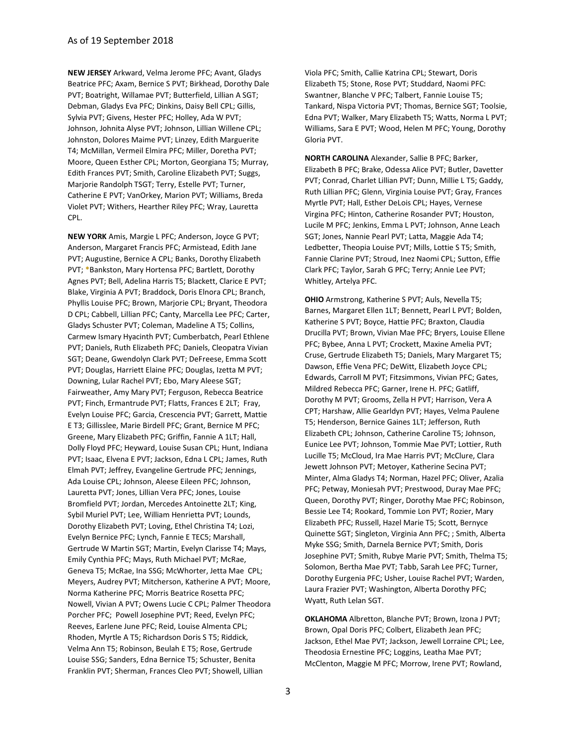**NEW JERSEY** Arkward, Velma Jerome PFC; Avant, Gladys Beatrice PFC; Axam, Bernice S PVT; Birkhead, Dorothy Dale PVT; Boatright, Willamae PVT; Butterfield, Lillian A SGT; Debman, Gladys Eva PFC; Dinkins, Daisy Bell CPL; Gillis, Sylvia PVT; Givens, Hester PFC; Holley, Ada W PVT; Johnson, Johnita Alyse PVT; Johnson, Lillian Willene CPL; Johnston, Dolores Maime PVT; Linzey, Edith Marguerite T4; McMillan, Vermeil Elmira PFC; Miller, Doretha PVT; Moore, Queen Esther CPL; Morton, Georgiana T5; Murray, Edith Frances PVT; Smith, Caroline Elizabeth PVT; Suggs, Marjorie Randolph TSGT; Terry, Estelle PVT; Turner, Catherine E PVT; VanOrkey, Marion PVT; Williams, Breda Violet PVT; Withers, Hearther Riley PFC; Wray, Lauretta CPL.

**NEW YORK** Amis, Margie L PFC; Anderson, Joyce G PVT; Anderson, Margaret Francis PFC; Armistead, Edith Jane PVT; Augustine, Bernice A CPL; Banks, Dorothy Elizabeth PVT; **\***Bankston, Mary Hortensa PFC; Bartlett, Dorothy Agnes PVT; Bell, Adelina Harris T5; Blackett, Clarice E PVT; Blake, Virginia A PVT; Braddock, Doris Elnora CPL; Branch, Phyllis Louise PFC; Brown, Marjorie CPL; Bryant, Theodora D CPL; Cabbell, Lillian PFC; Canty, Marcella Lee PFC; Carter, Gladys Schuster PVT; Coleman, Madeline A T5; Collins, Carmew Ismary Hyacinth PVT; Cumberbatch, Pearl Ethlene PVT; Daniels, Ruth Elizabeth PFC; Daniels, Cleopatra Vivian SGT; Deane, Gwendolyn Clark PVT; DeFreese, Emma Scott PVT; Douglas, Harriett Elaine PFC; Douglas, Izetta M PVT; Downing, Lular Rachel PVT; Ebo, Mary Aleese SGT; Fairweather, Amy Mary PVT; Ferguson, Rebecca Beatrice PVT; Finch, Ermantrude PVT; Flatts, Frances E 2LT; Fray, Evelyn Louise PFC; Garcia, Crescencia PVT; Garrett, Mattie E T3; Gillisslee, Marie Birdell PFC; Grant, Bernice M PFC; Greene, Mary Elizabeth PFC; Griffin, Fannie A 1LT; Hall, Dolly Floyd PFC; Heyward, Louise Susan CPL; Hunt, Indiana PVT; Isaac, Elvena E PVT; Jackson, Edna L CPL; James, Ruth Elmah PVT; Jeffrey, Evangeline Gertrude PFC; Jennings, Ada Louise CPL; Johnson, Aleese Eileen PFC; Johnson, Lauretta PVT; Jones, Lillian Vera PFC; Jones, Louise Bromfield PVT; Jordan, Mercedes Antoinette 2LT; King, Sybil Muriel PVT; Lee, William Henrietta PVT; Lounds, Dorothy Elizabeth PVT; Loving, Ethel Christina T4; Lozi, Evelyn Bernice PFC; Lynch, Fannie E TEC5; Marshall, Gertrude W Martin SGT; Martin, Evelyn Clarisse T4; Mays, Emily Cynthia PFC; Mays, Ruth Michael PVT; McRae, Geneva T5; McRae, Ina SSG; McWhorter, Jetta Mae CPL; Meyers, Audrey PVT; Mitcherson, Katherine A PVT; Moore, Norma Katherine PFC; Morris Beatrice Rosetta PFC; Nowell, Vivian A PVT; Owens Lucie C CPL; Palmer Theodora Porcher PFC; Powell Josephine PVT; Reed, Evelyn PFC; Reeves, Earlene June PFC; Reid, Louise Almenta CPL; Rhoden, Myrtle A T5; Richardson Doris S T5; Riddick, Velma Ann T5; Robinson, Beulah E T5; Rose, Gertrude Louise SSG; Sanders, Edna Bernice T5; Schuster, Benita Franklin PVT; Sherman, Frances Cleo PVT; Showell, Lillian

Viola PFC; Smith, Callie Katrina CPL; Stewart, Doris Elizabeth T5; Stone, Rose PVT; Studdard, Naomi PFC: Swantner, Blanche V PFC; Talbert, Fannie Louise T5; Tankard, Nispa Victoria PVT; Thomas, Bernice SGT; Toolsie, Edna PVT; Walker, Mary Elizabeth T5; Watts, Norma L PVT; Williams, Sara E PVT; Wood, Helen M PFC; Young, Dorothy Gloria PVT.

**NORTH CAROLINA** Alexander, Sallie B PFC; Barker, Elizabeth B PFC; Brake, Odessa Alice PVT; Butler, Davetter PVT; Conrad, Charlet Lillian PVT; Dunn, Millie L T5; Gaddy, Ruth Lillian PFC; Glenn, Virginia Louise PVT; Gray, Frances Myrtle PVT; Hall, Esther DeLois CPL; Hayes, Vernese Virgina PFC; Hinton, Catherine Rosander PVT; Houston, Lucile M PFC; Jenkins, Emma L PVT; Johnson, Anne Leach SGT; Jones, Nannie Pearl PVT; Latta, Maggie Ada T4; Ledbetter, Theopia Louise PVT; Mills, Lottie S T5; Smith, Fannie Clarine PVT; Stroud, Inez Naomi CPL; Sutton, Effie Clark PFC; Taylor, Sarah G PFC; Terry; Annie Lee PVT; Whitley, Artelya PFC.

**OHIO** Armstrong, Katherine S PVT; Auls, Nevella T5; Barnes, Margaret Ellen 1LT; Bennett, Pearl L PVT; Bolden, Katherine S PVT; Boyce, Hattie PFC; Braxton, Claudia Drucilla PVT; Brown, Vivian Mae PFC; Bryers, Louise Ellene PFC; Bybee, Anna L PVT; Crockett, Maxine Amelia PVT; Cruse, Gertrude Elizabeth T5; Daniels, Mary Margaret T5; Dawson, Effie Vena PFC; DeWitt, Elizabeth Joyce CPL; Edwards, Carroll M PVT; Fitzsimmons, Vivian PFC; Gates, Mildred Rebecca PFC; Garner, Irene H. PFC; Gatliff, Dorothy M PVT; Grooms, Zella H PVT; Harrison, Vera A CPT; Harshaw, Allie Gearldyn PVT; Hayes, Velma Paulene T5; Henderson, Bernice Gaines 1LT; Jefferson, Ruth Elizabeth CPL; Johnson, Catherine Caroline T5; Johnson, Eunice Lee PVT; Johnson, Tommie Mae PVT; Lottier, Ruth Lucille T5; McCloud, Ira Mae Harris PVT; McClure, Clara Jewett Johnson PVT; Metoyer, Katherine Secina PVT; Minter, Alma Gladys T4; Norman, Hazel PFC; Oliver, Azalia PFC; Petway, Moniesah PVT; Prestwood, Duray Mae PFC; Queen, Dorothy PVT; Ringer, Dorothy Mae PFC; Robinson, Bessie Lee T4; Rookard, Tommie Lon PVT; Rozier, Mary Elizabeth PFC; Russell, Hazel Marie T5; Scott, Bernyce Quinette SGT; Singleton, Virginia Ann PFC; ; Smith, Alberta Myke SSG; Smith, Darnela Bernice PVT; Smith, Doris Josephine PVT; Smith, Rubye Marie PVT; Smith, Thelma T5; Solomon, Bertha Mae PVT; Tabb, Sarah Lee PFC; Turner, Dorothy Eurgenia PFC; Usher, Louise Rachel PVT; Warden, Laura Frazier PVT; Washington, Alberta Dorothy PFC; Wyatt, Ruth Lelan SGT.

**OKLAHOMA** Albretton, Blanche PVT; Brown, Izona J PVT; Brown, Opal Doris PFC; Colbert, Elizabeth Jean PFC; Jackson, Ethel Mae PVT; Jackson, Jewell Lorraine CPL; Lee, Theodosia Ernestine PFC; Loggins, Leatha Mae PVT; McClenton, Maggie M PFC; Morrow, Irene PVT; Rowland,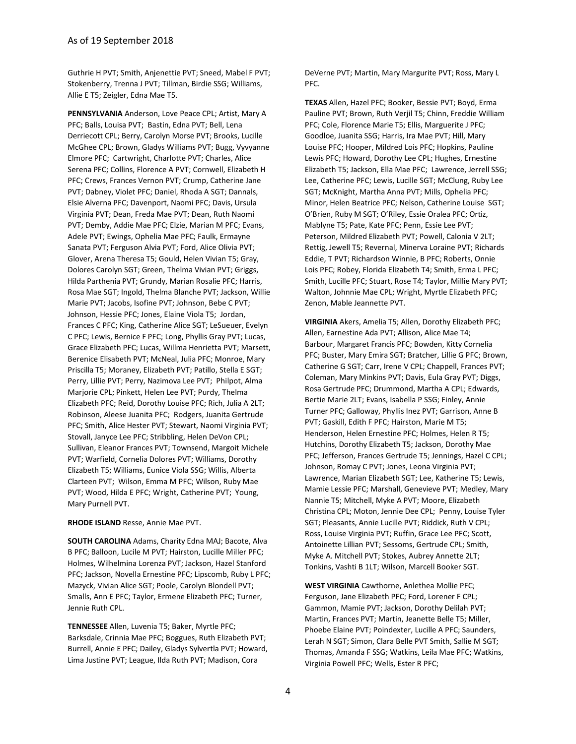Guthrie H PVT; Smith, Anjenettie PVT; Sneed, Mabel F PVT; Stokenberry, Trenna J PVT; Tillman, Birdie SSG; Williams, Allie E T5; Zeigler, Edna Mae T5.

**PENNSYLVANIA** Anderson, Love Peace CPL; Artist, Mary A PFC; Balls, Louisa PVT; Bastin, Edna PVT; Bell, Lena Derriecott CPL; Berry, Carolyn Morse PVT; Brooks, Lucille McGhee CPL; Brown, Gladys Williams PVT; Bugg, Vyvyanne Elmore PFC; Cartwright, Charlotte PVT; Charles, Alice Serena PFC; Collins, Florence A PVT; Cornwell, Elizabeth H PFC; Crews, Frances Vernon PVT; Crump, Catherine Jane PVT; Dabney, Violet PFC; Daniel, Rhoda A SGT; Dannals, Elsie Alverna PFC; Davenport, Naomi PFC; Davis, Ursula Virginia PVT; Dean, Freda Mae PVT; Dean, Ruth Naomi PVT; Demby, Addie Mae PFC; Elzie, Marian M PFC; Evans, Adele PVT; Ewings, Ophelia Mae PFC; Faulk, Ermayne Sanata PVT; Ferguson Alvia PVT; Ford, Alice Olivia PVT; Glover, Arena Theresa T5; Gould, Helen Vivian T5; Gray, Dolores Carolyn SGT; Green, Thelma Vivian PVT; Griggs, Hilda Parthenia PVT; Grundy, Marian Rosalie PFC; Harris, Rosa Mae SGT; Ingold, Thelma Blanche PVT; Jackson, Willie Marie PVT; Jacobs, Isofine PVT; Johnson, Bebe C PVT; Johnson, Hessie PFC; Jones, Elaine Viola T5; Jordan, Frances C PFC; King, Catherine Alice SGT; LeSueuer, Evelyn C PFC; Lewis, Bernice F PFC; Long, Phyllis Gray PVT; Lucas, Grace Elizabeth PFC; Lucas, Willma Henrietta PVT; Marsett, Berenice Elisabeth PVT; McNeal, Julia PFC; Monroe, Mary Priscilla T5; Moraney, Elizabeth PVT; Patillo, Stella E SGT; Perry, Lillie PVT; Perry, Nazimova Lee PVT; Philpot, Alma Marjorie CPL; Pinkett, Helen Lee PVT; Purdy, Thelma Elizabeth PFC; Reid, Dorothy Louise PFC; Rich, Julia A 2LT; Robinson, Aleese Juanita PFC; Rodgers, Juanita Gertrude PFC; Smith, Alice Hester PVT; Stewart, Naomi Virginia PVT; Stovall, Janyce Lee PFC; Stribbling, Helen DeVon CPL; Sullivan, Eleanor Frances PVT; Townsend, Margoit Michele PVT; Warfield, Cornelia Dolores PVT; Williams, Dorothy Elizabeth T5; Williams, Eunice Viola SSG; Willis, Alberta Clarteen PVT; Wilson, Emma M PFC; Wilson, Ruby Mae PVT; Wood, Hilda E PFC; Wright, Catherine PVT; Young, Mary Purnell PVT.

## **RHODE ISLAND** Resse, Annie Mae PVT.

**SOUTH CAROLINA** Adams, Charity Edna MAJ; Bacote, Alva B PFC; Balloon, Lucile M PVT; Hairston, Lucille Miller PFC; Holmes, Wilhelmina Lorenza PVT; Jackson, Hazel Stanford PFC; Jackson, Novella Ernestine PFC; Lipscomb, Ruby L PFC; Mazyck, Vivian Alice SGT; Poole, Carolyn Blondell PVT; Smalls, Ann E PFC; Taylor, Ermene Elizabeth PFC; Turner, Jennie Ruth CPL.

**TENNESSEE** Allen, Luvenia T5; Baker, Myrtle PFC; Barksdale, Crinnia Mae PFC; Boggues, Ruth Elizabeth PVT; Burrell, Annie E PFC; Dailey, Gladys Sylvertla PVT; Howard, Lima Justine PVT; League, Ilda Ruth PVT; Madison, Cora

DeVerne PVT; Martin, Mary Margurite PVT; Ross, Mary L PFC.

**TEXAS** Allen, Hazel PFC; Booker, Bessie PVT; Boyd, Erma Pauline PVT; Brown, Ruth Verjil T5; Chinn, Freddie William PFC; Cole, Florence Marie T5; Ellis, Marguerite J PFC; Goodloe, Juanita SSG; Harris, Ira Mae PVT; Hill, Mary Louise PFC; Hooper, Mildred Lois PFC; Hopkins, Pauline Lewis PFC; Howard, Dorothy Lee CPL; Hughes, Ernestine Elizabeth T5; Jackson, Ella Mae PFC; Lawrence, Jerrell SSG; Lee, Catherine PFC; Lewis, Lucille SGT; McClung, Ruby Lee SGT; McKnight, Martha Anna PVT; Mills, Ophelia PFC; Minor, Helen Beatrice PFC; Nelson, Catherine Louise SGT; O'Brien, Ruby M SGT; O'Riley, Essie Oralea PFC; Ortiz, Mablyne T5; Pate, Kate PFC; Penn, Essie Lee PVT; Peterson, Mildred Elizabeth PVT; Powell, Calonia V 2LT; Rettig, Jewell T5; Revernal, Minerva Loraine PVT; Richards Eddie, T PVT; Richardson Winnie, B PFC; Roberts, Onnie Lois PFC; Robey, Florida Elizabeth T4; Smith, Erma L PFC; Smith, Lucille PFC; Stuart, Rose T4; Taylor, Millie Mary PVT; Walton, Johnnie Mae CPL; Wright, Myrtle Elizabeth PFC; Zenon, Mable Jeannette PVT.

**VIRGINIA** Akers, Amelia T5; Allen, Dorothy Elizabeth PFC; Allen, Earnestine Ada PVT; Allison, Alice Mae T4; Barbour, Margaret Francis PFC; Bowden, Kitty Cornelia PFC; Buster, Mary Emira SGT; Bratcher, Lillie G PFC; Brown, Catherine G SGT; Carr, Irene V CPL; Chappell, Frances PVT; Coleman, Mary Minkins PVT; Davis, Eula Gray PVT; Diggs, Rosa Gertrude PFC; Drummond, Martha A CPL; Edwards, Bertie Marie 2LT; Evans, Isabella P SSG; Finley, Annie Turner PFC; Galloway, Phyllis Inez PVT; Garrison, Anne B PVT; Gaskill, Edith F PFC; Hairston, Marie M T5; Henderson, Helen Ernestine PFC; Holmes, Helen R T5; Hutchins, Dorothy Elizabeth T5; Jackson, Dorothy Mae PFC; Jefferson, Frances Gertrude T5; Jennings, Hazel C CPL; Johnson, Romay C PVT; Jones, Leona Virginia PVT; Lawrence, Marian Elizabeth SGT; Lee, Katherine T5; Lewis, Mamie Lessie PFC; Marshall, Genevieve PVT; Medley, Mary Nannie T5; Mitchell, Myke A PVT; Moore, Elizabeth Christina CPL; Moton, Jennie Dee CPL; Penny, Louise Tyler SGT; Pleasants, Annie Lucille PVT; Riddick, Ruth V CPL; Ross, Louise Virginia PVT; Ruffin, Grace Lee PFC; Scott, Antoinette Lillian PVT; Sessoms, Gertrude CPL; Smith, Myke A. Mitchell PVT; Stokes, Aubrey Annette 2LT; Tonkins, Vashti B 1LT; Wilson, Marcell Booker SGT.

**WEST VIRGINIA** Cawthorne, Anlethea Mollie PFC; Ferguson, Jane Elizabeth PFC; Ford, Lorener F CPL; Gammon, Mamie PVT; Jackson, Dorothy Delilah PVT; Martin, Frances PVT; Martin, Jeanette Belle T5; Miller, Phoebe Elaine PVT; Poindexter, Lucille A PFC; Saunders, Lerah N SGT; Simon, Clara Belle PVT Smith, Sallie M SGT; Thomas, Amanda F SSG; Watkins, Leila Mae PFC; Watkins, Virginia Powell PFC; Wells, Ester R PFC;